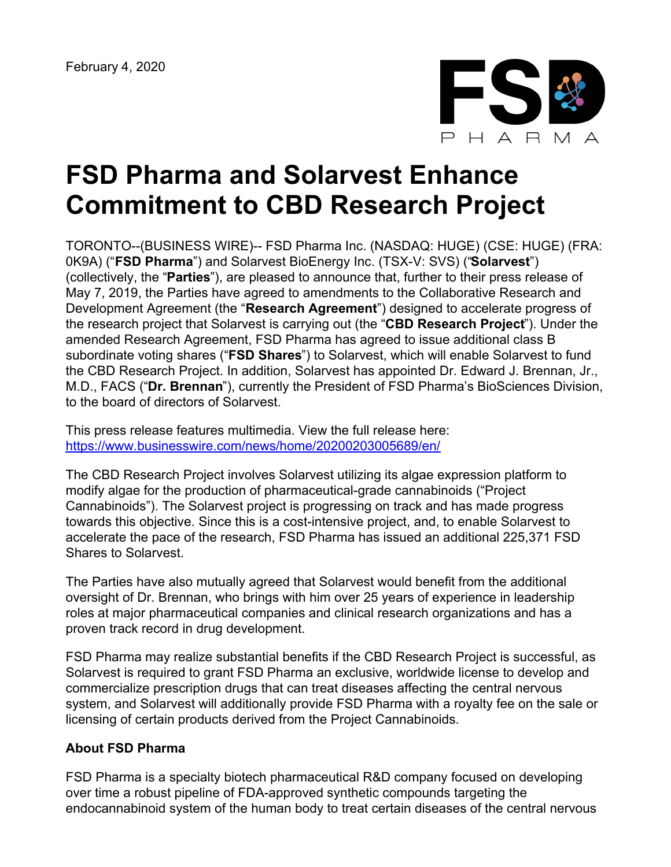

## **FSD Pharma and Solarvest Enhance Commitment to CBD Research Project**

TORONTO--(BUSINESS WIRE)-- FSD Pharma Inc. (NASDAQ: HUGE) (CSE: HUGE) (FRA: 0K9A) ("**FSD Pharma**") and Solarvest BioEnergy Inc. (TSX-V: SVS) ("**Solarvest**") (collectively, the "**Parties**"), are pleased to announce that, further to their press release of May 7, 2019, the Parties have agreed to amendments to the Collaborative Research and Development Agreement (the "**Research Agreement**") designed to accelerate progress of the research project that Solarvest is carrying out (the "**CBD Research Project**"). Under the amended Research Agreement, FSD Pharma has agreed to issue additional class B subordinate voting shares ("**FSD Shares**") to Solarvest, which will enable Solarvest to fund the CBD Research Project. In addition, Solarvest has appointed Dr. Edward J. Brennan, Jr., M.D., FACS ("**Dr. Brennan**"), currently the President of FSD Pharma's BioSciences Division, to the board of directors of Solarvest.

This press release features multimedia. View the full release here: <https://www.businesswire.com/news/home/20200203005689/en/>

The CBD Research Project involves Solarvest utilizing its algae expression platform to modify algae for the production of pharmaceutical-grade cannabinoids ("Project Cannabinoids"). The Solarvest project is progressing on track and has made progress towards this objective. Since this is a cost-intensive project, and, to enable Solarvest to accelerate the pace of the research, FSD Pharma has issued an additional 225,371 FSD Shares to Solarvest.

The Parties have also mutually agreed that Solarvest would benefit from the additional oversight of Dr. Brennan, who brings with him over 25 years of experience in leadership roles at major pharmaceutical companies and clinical research organizations and has a proven track record in drug development.

FSD Pharma may realize substantial benefits if the CBD Research Project is successful, as Solarvest is required to grant FSD Pharma an exclusive, worldwide license to develop and commercialize prescription drugs that can treat diseases affecting the central nervous system, and Solarvest will additionally provide FSD Pharma with a royalty fee on the sale or licensing of certain products derived from the Project Cannabinoids.

## **About FSD Pharma**

FSD Pharma is a specialty biotech pharmaceutical R&D company focused on developing over time a robust pipeline of FDA-approved synthetic compounds targeting the endocannabinoid system of the human body to treat certain diseases of the central nervous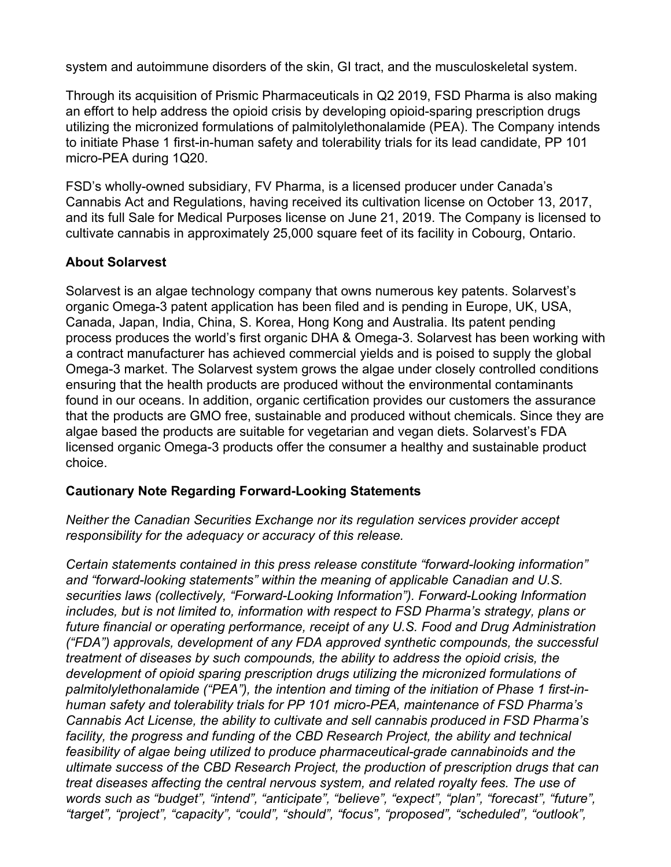system and autoimmune disorders of the skin, GI tract, and the musculoskeletal system.

Through its acquisition of Prismic Pharmaceuticals in Q2 2019, FSD Pharma is also making an effort to help address the opioid crisis by developing opioid-sparing prescription drugs utilizing the micronized formulations of palmitolylethonalamide (PEA). The Company intends to initiate Phase 1 first-in-human safety and tolerability trials for its lead candidate, PP 101 micro-PEA during 1Q20.

FSD's wholly-owned subsidiary, FV Pharma, is a licensed producer under Canada's Cannabis Act and Regulations, having received its cultivation license on October 13, 2017, and its full Sale for Medical Purposes license on June 21, 2019. The Company is licensed to cultivate cannabis in approximately 25,000 square feet of its facility in Cobourg, Ontario.

## **About Solarvest**

Solarvest is an algae technology company that owns numerous key patents. Solarvest's organic Omega-3 patent application has been filed and is pending in Europe, UK, USA, Canada, Japan, India, China, S. Korea, Hong Kong and Australia. Its patent pending process produces the world's first organic DHA & Omega-3. Solarvest has been working with a contract manufacturer has achieved commercial yields and is poised to supply the global Omega-3 market. The Solarvest system grows the algae under closely controlled conditions ensuring that the health products are produced without the environmental contaminants found in our oceans. In addition, organic certification provides our customers the assurance that the products are GMO free, sustainable and produced without chemicals. Since they are algae based the products are suitable for vegetarian and vegan diets. Solarvest's FDA licensed organic Omega-3 products offer the consumer a healthy and sustainable product choice.

## **Cautionary Note Regarding Forward-Looking Statements**

*Neither the Canadian Securities Exchange nor its regulation services provider accept responsibility for the adequacy or accuracy of this release.*

*Certain statements contained in this press release constitute "forward-looking information" and "forward-looking statements" within the meaning of applicable Canadian and U.S. securities laws (collectively, "Forward-Looking Information"). Forward-Looking Information includes, but is not limited to, information with respect to FSD Pharma's strategy, plans or future financial or operating performance, receipt of any U.S. Food and Drug Administration ("FDA") approvals, development of any FDA approved synthetic compounds, the successful treatment of diseases by such compounds, the ability to address the opioid crisis, the development of opioid sparing prescription drugs utilizing the micronized formulations of palmitolylethonalamide ("PEA"), the intention and timing of the initiation of Phase 1 first-inhuman safety and tolerability trials for PP 101 micro-PEA, maintenance of FSD Pharma's Cannabis Act License, the ability to cultivate and sell cannabis produced in FSD Pharma's facility, the progress and funding of the CBD Research Project, the ability and technical feasibility of algae being utilized to produce pharmaceutical-grade cannabinoids and the ultimate success of the CBD Research Project, the production of prescription drugs that can treat diseases affecting the central nervous system, and related royalty fees. The use of words such as "budget", "intend", "anticipate", "believe", "expect", "plan", "forecast", "future", "target", "project", "capacity", "could", "should", "focus", "proposed", "scheduled", "outlook",*